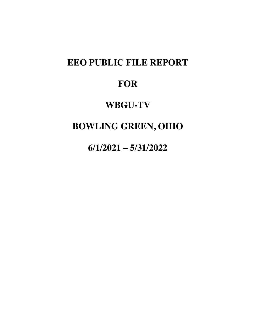# **EEO PUBLIC FILE REPORT**

# **FOR**

## **WBGU-TV**

# **BOWLING GREEN, OHIO**

**6/1/2021 – 5/31/2022**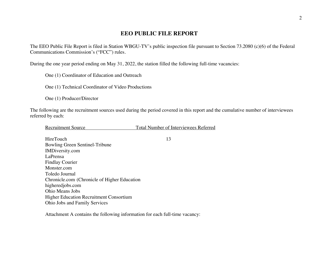#### **EEO PUBLIC FILE REPORT**

The EEO Public File Report is filed in Station WBGU-TV's public inspection file pursuant to Section 73.2080 (c)(6) of the Federal Communications Commission's ("FCC") rules.

During the one year period ending on May 31, 2022, the station filled the following full-time vacancies:

One (1) Coordinator of Education and Outreach

One (1) Technical Coordinator of Video Productions

One (1) Producer/Director

The following are the recruitment sources used during the period covered in this report and the cumulative number of interviewees referred by each:

| <b>Recruitment Source</b> | Total Number of Interviewees Referred |
|---------------------------|---------------------------------------|
|---------------------------|---------------------------------------|

HireTouch 13 Bowling Green Sentinel-Tribune IMDiversity.com LaPrensa Findlay Courier Monster.com Toledo Journal Chronicle.com (Chronicle of Higher Education higheredjobs.com Ohio Means Jobs Higher Education Recruitment Consortium Ohio Jobs and Family Services

Attachment A contains the following information for each full-time vacancy: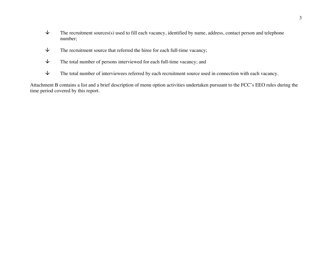- $\psi$  The recruitment sources(s) used to fill each vacancy, identified by name, address, contact person and telephone number;
- $\psi$  The recruitment source that referred the hiree for each full-time vacancy;
- $\downarrow$  The total number of persons interviewed for each full-time vacancy; and
- $\psi$  The total number of interviewees referred by each recruitment source used in connection with each vacancy.

Attachment B contains a list and a brief description of menu option activities undertaken pursuant to the FCC's EEO rules during the time period covered by this report.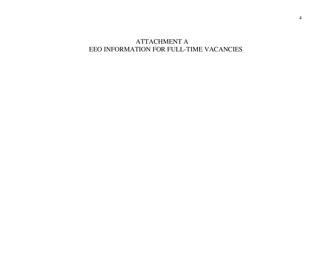### ATTACHMENT A EEO INFORMATION FOR FULL-TIME VACANCIES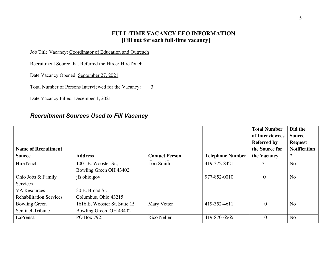#### **FULL-TIME VACANCY EEO INFORMATION [Fill out for each full-time vacancy]**

Job Title Vacancy: Coordinator of Education and Outreach

Recruitment Source that Referred the Hiree: HireTouch

Date Vacancy Opened: September 27, 2021

Total Number of Persons Interviewed for the Vacancy:  $\frac{3}{5}$ 

Date Vacancy Filled: December 1, 2021

#### *Recruitment Sources Used to Fill Vacancy*

| <b>Name of Recruitment</b><br><b>Source</b> | <b>Address</b>               | <b>Contact Person</b> | <b>Telephone Number</b> | <b>Total Number</b><br>of Interviewees<br><b>Referred by</b><br>the Source for<br>the Vacancy. | Did the<br><b>Source</b><br><b>Request</b><br><b>Notification</b><br>$\ddot{\textbf{?}}$ |
|---------------------------------------------|------------------------------|-----------------------|-------------------------|------------------------------------------------------------------------------------------------|------------------------------------------------------------------------------------------|
| HireTouch                                   | 1001 E. Wooster St.,         | Lori Smith            | 419-372-8421            | 3                                                                                              | N <sub>o</sub>                                                                           |
|                                             | Bowling Green OH 43402       |                       |                         |                                                                                                |                                                                                          |
| Ohio Jobs & Family                          | jfs.ohio.gov                 |                       | 977-852-0010            | $\theta$                                                                                       | N <sub>o</sub>                                                                           |
| Services                                    |                              |                       |                         |                                                                                                |                                                                                          |
| <b>VA Resources</b>                         | 30 E. Broad St.              |                       |                         |                                                                                                |                                                                                          |
| <b>Rehabilitation Services</b>              | Columbus, Ohio 43215         |                       |                         |                                                                                                |                                                                                          |
| <b>Bowling Green</b>                        | 1616 E. Wooster St. Suite 15 | <b>Mary Vetter</b>    | 419-352-4611            | $\overline{0}$                                                                                 | N <sub>o</sub>                                                                           |
| Sentinel-Tribune                            | Bowling Green, OH 43402      |                       |                         |                                                                                                |                                                                                          |
| LaPrensa                                    | PO Box 792,                  | Rico Neller           | 419-870-6565            | $\theta$                                                                                       | N <sub>o</sub>                                                                           |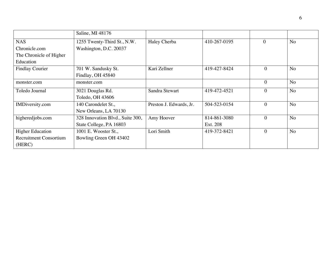|                               | Saline, MI 48176                 |                         |              |                |                |
|-------------------------------|----------------------------------|-------------------------|--------------|----------------|----------------|
| <b>NAS</b>                    | 1255 Twenty-Third St., N.W.      | Haley Cherba            | 410-267-0195 | $\theta$       | <b>No</b>      |
| Chronicle.com                 | Washington, D.C. 20037           |                         |              |                |                |
| The Chronicle of Higher       |                                  |                         |              |                |                |
| Education                     |                                  |                         |              |                |                |
| <b>Findlay Courier</b>        | 701 W. Sandusky St.              | Kari Zellner            | 419-427-8424 | $\mathbf{0}$   | N <sub>o</sub> |
|                               | Findlay, OH 45840                |                         |              |                |                |
| monster.com                   | monster.com                      |                         |              | $\theta$       | N <sub>o</sub> |
| Toledo Journal                | 3021 Douglas Rd.                 | Sandra Stewart          | 419-472-4521 | $\theta$       | N <sub>o</sub> |
|                               | Toledo, OH 43606                 |                         |              |                |                |
| IMDiversity.com               | 140 Carondelet St.,              | Preston J. Edwards, Jr. | 504-523-0154 | $\theta$       | N <sub>o</sub> |
|                               | New Orleans, LA 70130            |                         |              |                |                |
| higheredjobs.com              | 328 Innovation Blvd., Suite 300, | Amy Hoover              | 814-861-3080 | $\theta$       | N <sub>o</sub> |
|                               | State College, PA 16803          |                         | Ext. 208     |                |                |
| <b>Higher Education</b>       | 1001 E. Wooster St.,             | Lori Smith              | 419-372-8421 | $\overline{0}$ | <b>No</b>      |
| <b>Recruitment Consortium</b> | Bowling Green OH 43402           |                         |              |                |                |
| (HERC)                        |                                  |                         |              |                |                |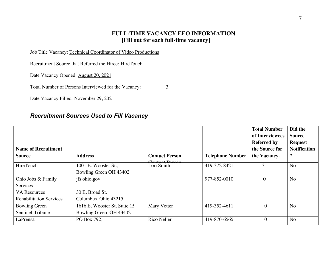#### **FULL-TIME VACANCY EEO INFORMATION [Fill out for each full-time vacancy]**

Job Title Vacancy: Technical Coordinator of Video Productions

Recruitment Source that Referred the Hiree: HireTouch

Date Vacancy Opened: August 20, 2021

Total Number of Persons Interviewed for the Vacancy: 3

Date Vacancy Filled: November 29, 2021

#### *Recruitment Sources Used to Fill Vacancy*

| <b>Name of Recruitment</b><br><b>Source</b> | <b>Address</b>               | <b>Contact Person</b>        | <b>Telephone Number</b> | <b>Total Number</b><br>of Interviewees<br><b>Referred by</b><br>the Source for<br>the Vacancy. | Did the<br><b>Source</b><br><b>Request</b><br><b>Notification</b><br>$\ddot{\phantom{0}}$ |
|---------------------------------------------|------------------------------|------------------------------|-------------------------|------------------------------------------------------------------------------------------------|-------------------------------------------------------------------------------------------|
| HireTouch                                   | 1001 E. Wooster St.,         | Contact Doncor<br>Lori Smith | 419-372-8421            | 3                                                                                              | N <sub>o</sub>                                                                            |
|                                             | Bowling Green OH 43402       |                              |                         |                                                                                                |                                                                                           |
| Ohio Jobs & Family                          | jfs.ohio.gov                 |                              | 977-852-0010            | $\Omega$                                                                                       | N <sub>o</sub>                                                                            |
| Services                                    |                              |                              |                         |                                                                                                |                                                                                           |
| <b>VA Resources</b>                         | 30 E. Broad St.              |                              |                         |                                                                                                |                                                                                           |
| <b>Rehabilitation Services</b>              | Columbus, Ohio 43215         |                              |                         |                                                                                                |                                                                                           |
| <b>Bowling Green</b>                        | 1616 E. Wooster St. Suite 15 | <b>Mary Vetter</b>           | 419-352-4611            | $\theta$                                                                                       | N <sub>o</sub>                                                                            |
| Sentinel-Tribune                            | Bowling Green, OH 43402      |                              |                         |                                                                                                |                                                                                           |
| LaPrensa                                    | PO Box 792,                  | Rico Neller                  | 419-870-6565            | $\theta$                                                                                       | N <sub>o</sub>                                                                            |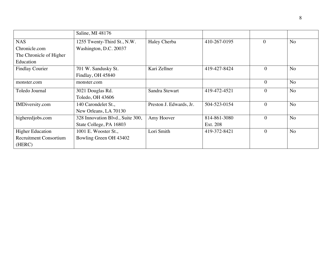|                               | Saline, MI 48176                 |                         |              |              |                |
|-------------------------------|----------------------------------|-------------------------|--------------|--------------|----------------|
| <b>NAS</b>                    | 1255 Twenty-Third St., N.W.      | Haley Cherba            | 410-267-0195 | $\theta$     | N <sub>o</sub> |
| Chronicle.com                 | Washington, D.C. 20037           |                         |              |              |                |
| The Chronicle of Higher       |                                  |                         |              |              |                |
| Education                     |                                  |                         |              |              |                |
| <b>Findlay Courier</b>        | 701 W. Sandusky St.              | Kari Zellner            | 419-427-8424 | $\theta$     | <b>No</b>      |
|                               | Findlay, OH 45840                |                         |              |              |                |
| monster.com                   | monster.com                      |                         |              | $\theta$     | N <sub>o</sub> |
| Toledo Journal                | 3021 Douglas Rd.                 | Sandra Stewart          | 419-472-4521 | $\theta$     | <b>No</b>      |
|                               | Toledo, OH 43606                 |                         |              |              |                |
| IMDiversity.com               | 140 Carondelet St.,              | Preston J. Edwards, Jr. | 504-523-0154 | $\theta$     | N <sub>o</sub> |
|                               | New Orleans, LA 70130            |                         |              |              |                |
| higheredjobs.com              | 328 Innovation Blvd., Suite 300, | Amy Hoover              | 814-861-3080 | $\mathbf{0}$ | N <sub>o</sub> |
|                               | State College, PA 16803          |                         | Ext. 208     |              |                |
| <b>Higher Education</b>       | 1001 E. Wooster St.,             | Lori Smith              | 419-372-8421 | $\theta$     | <b>No</b>      |
| <b>Recruitment Consortium</b> | Bowling Green OH 43402           |                         |              |              |                |
| (HERC)                        |                                  |                         |              |              |                |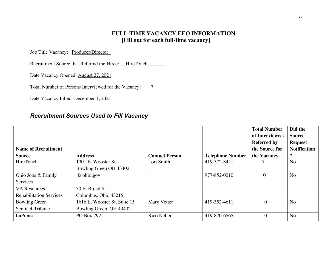#### **FULL-TIME VACANCY EEO INFORMATION [Fill out for each full-time vacancy]**

Job Title Vacancy: \_Producer/Director

Recruitment Source that Referred the Hiree: \_\_HireTouch\_\_\_\_\_\_\_

Date Vacancy Opened: August 27, 2021

Total Number of Persons Interviewed for the Vacancy:  $\frac{7}{2}$ 

Date Vacancy Filled: December 1, 2021

#### *Recruitment Sources Used to Fill Vacancy*

|                                |                              |                       |                         | <b>Total Number</b> | Did the              |
|--------------------------------|------------------------------|-----------------------|-------------------------|---------------------|----------------------|
|                                |                              |                       |                         | of Interviewees     | <b>Source</b>        |
|                                |                              |                       |                         | <b>Referred by</b>  | <b>Request</b>       |
| <b>Name of Recruitment</b>     |                              |                       |                         | the Source for      | <b>Notification</b>  |
| <b>Source</b>                  | <b>Address</b>               | <b>Contact Person</b> | <b>Telephone Number</b> | the Vacancy.        | $\ddot{\phantom{0}}$ |
| HireTouch                      | 1001 E. Wooster St.,         | Lori Smith            | 419-372-8421            |                     | N <sub>o</sub>       |
|                                | Bowling Green OH 43402       |                       |                         |                     |                      |
| Ohio Jobs & Family             | jfs.ohio.gov                 |                       | 977-852-0010            | $\Omega$            | N <sub>o</sub>       |
| <b>Services</b>                |                              |                       |                         |                     |                      |
| <b>VA Resources</b>            | 30 E. Broad St.              |                       |                         |                     |                      |
| <b>Rehabilitation Services</b> | Columbus, Ohio 43215         |                       |                         |                     |                      |
| <b>Bowling Green</b>           | 1616 E. Wooster St. Suite 15 | <b>Mary Vetter</b>    | 419-352-4611            | $\overline{0}$      | N <sub>o</sub>       |
| Sentinel-Tribune               | Bowling Green, OH 43402      |                       |                         |                     |                      |
| LaPrensa                       | PO Box 792,                  | Rico Neller           | 419-870-6565            | $\theta$            | N <sub>o</sub>       |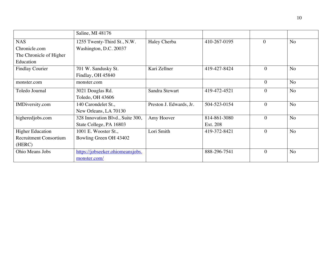|                               | Saline, MI 48176                 |                         |              |                |                |
|-------------------------------|----------------------------------|-------------------------|--------------|----------------|----------------|
| <b>NAS</b>                    | 1255 Twenty-Third St., N.W.      | Haley Cherba            | 410-267-0195 | $\theta$       | N <sub>o</sub> |
| Chronicle.com                 | Washington, D.C. 20037           |                         |              |                |                |
| The Chronicle of Higher       |                                  |                         |              |                |                |
| Education                     |                                  |                         |              |                |                |
| <b>Findlay Courier</b>        | 701 W. Sandusky St.              | Kari Zellner            | 419-427-8424 | $\mathbf{0}$   | N <sub>o</sub> |
|                               | Findlay, OH 45840                |                         |              |                |                |
| monster.com                   | monster.com                      |                         |              | $\theta$       | <b>No</b>      |
| Toledo Journal                | 3021 Douglas Rd.                 | Sandra Stewart          | 419-472-4521 | $\overline{0}$ | N <sub>o</sub> |
|                               | Toledo, OH 43606                 |                         |              |                |                |
| IMDiversity.com               | 140 Carondelet St.,              | Preston J. Edwards, Jr. | 504-523-0154 | $\theta$       | <b>No</b>      |
|                               | New Orleans, LA 70130            |                         |              |                |                |
| higheredjobs.com              | 328 Innovation Blvd., Suite 300, | Amy Hoover              | 814-861-3080 | $\mathbf{0}$   | <b>No</b>      |
|                               | State College, PA 16803          |                         | Ext. 208     |                |                |
| <b>Higher Education</b>       | 1001 E. Wooster St.,             | Lori Smith              | 419-372-8421 | $\mathbf{0}$   | <b>No</b>      |
| <b>Recruitment Consortium</b> | Bowling Green OH 43402           |                         |              |                |                |
| (HERC)                        |                                  |                         |              |                |                |
| Ohio Means Jobs               | https://jobseeker.ohiomeansjobs. |                         | 888-296-7541 | $\mathbf{0}$   | <b>No</b>      |
|                               | monster.com/                     |                         |              |                |                |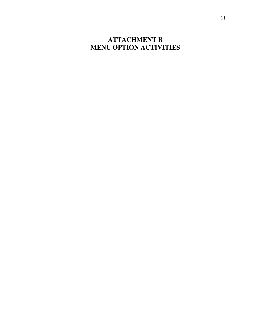### **ATTACHMENT B MENU OPTION ACTIVITIES**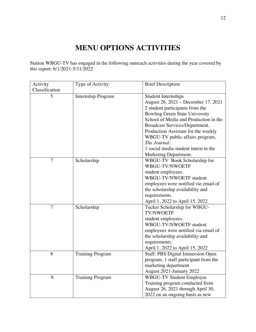## **MENU OPTIONS ACTIVITIES**

Station WBGU-TV has engaged in the following outreach activities during the year covered by this report: 6/1/2021-5/31/2022

| Activity       | Type of Activity          | <b>Brief Description</b>              |
|----------------|---------------------------|---------------------------------------|
| Classification |                           |                                       |
| 5              | <b>Internship Program</b> | <b>Student Internships</b>            |
|                |                           | August 26, 2021 – December 17, 2021   |
|                |                           | 2 student participants from the       |
|                |                           | <b>Bowling Green State University</b> |
|                |                           | School of Media and Production in the |
|                |                           | Broadcast Services/Department.        |
|                |                           | Production Assistant for the weekly   |
|                |                           | WBGU-TV public affairs program,       |
|                |                           | The Journal.                          |
|                |                           | 1 social media student intern in the  |
|                |                           | Marketing Department.                 |
| $\overline{7}$ | Scholarship               | WBGU-TV Book Scholarship for          |
|                |                           | WBGU-TV/NWOETF                        |
|                |                           | student employees.                    |
|                |                           | WBGU-TV/NWOETF student                |
|                |                           | employees were notified vie email of  |
|                |                           | the scholarship availability and      |
|                |                           | requirements.                         |
|                |                           | April 1, 2022 to April 15, 2022       |
| $\overline{7}$ | Scholarship               | Tucker Scholarship for WBGU-          |
|                |                           | <b>TV/NWOETF</b>                      |
|                |                           | student employees.                    |
|                |                           | WBGU-TV/NWOETF student                |
|                |                           | employees were notified via email of  |
|                |                           | the scholarship availability and      |
|                |                           | requirements.                         |
|                |                           | April 1, 2022 to April 15, 2022       |
| 8              | <b>Training Program</b>   | Staff: PBS Digital Immersion Open     |
|                |                           | program. 1 staff participant from the |
|                |                           | marketing department                  |
|                |                           | August 2021-January 2022              |
| 8              | <b>Training Program</b>   | <b>WBGU-TV Student Employee</b>       |
|                |                           | Training program conducted from       |
|                |                           | August 26, 2021 through April 30,     |
|                |                           | 2022 on an ongoing basis as new       |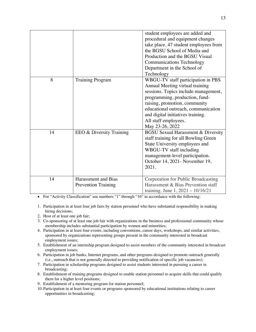|    |                                                   | student employees are added and<br>procedural and equipment changes<br>take place. 47 student employees from<br>the BGSU School of Media and<br>Production and the BGSU Visual<br><b>Communications Technology</b><br>Department in the School of<br>Technology                                         |
|----|---------------------------------------------------|---------------------------------------------------------------------------------------------------------------------------------------------------------------------------------------------------------------------------------------------------------------------------------------------------------|
| 8  | <b>Training Program</b>                           | WBGU-TV staff participation in PBS<br>Annual Meeting virtual training<br>sessions. Topics include management,<br>programming, production, fund-<br>raising, promotion, community<br>educational outreach, communication<br>and digital initiatives training.<br>All staff employees.<br>May 23-26, 2022 |
| 14 | EEO & Diversity Training                          | <b>BGSU Sexual Harassment &amp; Diversity</b><br>staff training for all Bowling Green<br>State University employees and<br>WBGU-TV staff including<br>management-level participation.<br>October 14, 2021- November 19,<br>2021.                                                                        |
| 14 | Harassment and Bias<br><b>Prevention Training</b> | Corporation for Public Broadcasting<br>Harassment & Bias Prevention staff<br>training. June 1, 2021 - 10/16/21                                                                                                                                                                                          |

• For "Activity Classification" use numbers "1" through "16" in accordance with the following:

- 1. Participation in at least four job fairs by station personnel who have substantial responsibility in making hiring decisions;
- 2. Host of at least one job fair;
- 3. Co-sponsoring of at least one job fair with organizations in the business and professional community whose membership includes substantial participation by women and minorities;
- 4. Participation in at least four events, including conventions, career days, workshops, and similar activities, sponsored by organizations representing groups present in the community interested in broadcast employment issues;
- 5. Establishment of an internship program designed to assist members of the community interested in broadcast employment issues;
- 6. Participation in job banks, Internet programs, and other programs designed to promote outreach generally (i.e., outreach that is not generally directed to providing notification of specific job vacancies);
- 7. Participation in scholarship programs designed to assist students interested in pursuing a career in broadcasting;
- 8. Establishment of training programs designed to enable station personnel to acquire skills that could qualify them for a higher level positions;
- 9. Establishment of a mentoring program for station personnel;
- 10.Participation in at least four events or programs sponsored by educational institutions relating to career opportunities in broadcasting;